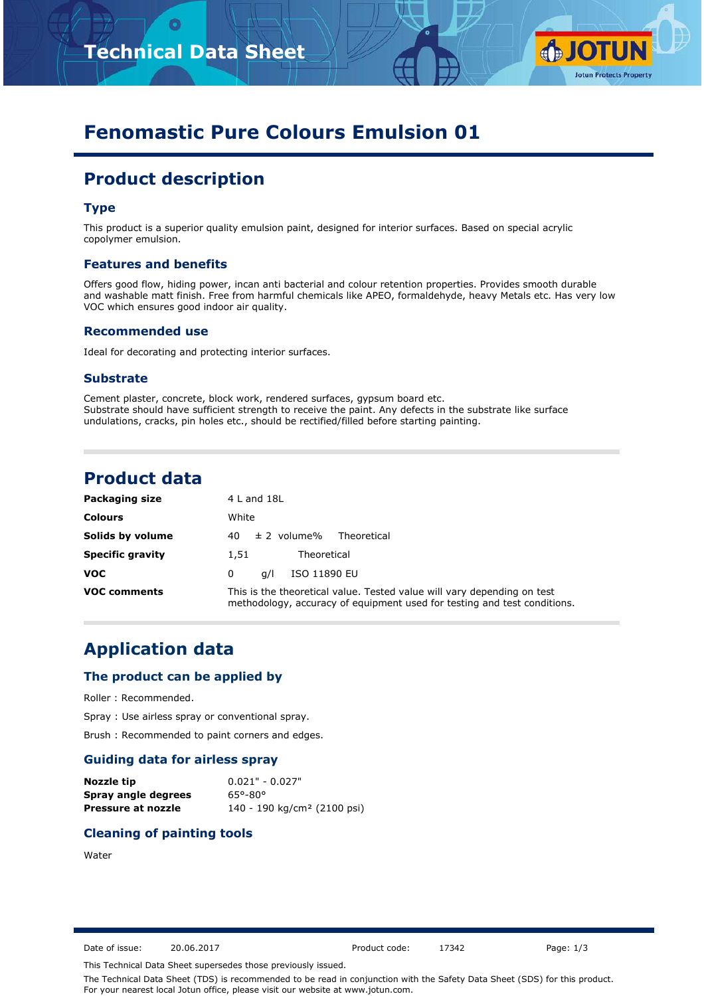



# **Fenomastic Pure Colours Emulsion 01**

# **Product description**

# **Type**

This product is a superior quality emulsion paint, designed for interior surfaces. Based on special acrylic copolymer emulsion.

#### **Features and benefits**

Offers good flow, hiding power, incan anti bacterial and colour retention properties. Provides smooth durable and washable matt finish. Free from harmful chemicals like APEO, formaldehyde, heavy Metals etc. Has very low VOC which ensures good indoor air quality.

#### **Recommended use**

Ideal for decorating and protecting interior surfaces.

#### **Substrate**

Cement plaster, concrete, block work, rendered surfaces, gypsum board etc. Substrate should have sufficient strength to receive the paint. Any defects in the substrate like surface undulations, cracks, pin holes etc., should be rectified/filled before starting painting.

# **Product data**

| Packaging size          | $4$ L and $18$ L                                                                                                                                    |
|-------------------------|-----------------------------------------------------------------------------------------------------------------------------------------------------|
| <b>Colours</b>          | White                                                                                                                                               |
| Solids by volume        | $\pm$ 2 volume%<br>Theoretical<br>40                                                                                                                |
| <b>Specific gravity</b> | Theoretical<br>1.51                                                                                                                                 |
| <b>VOC</b>              | ISO 11890 EU<br>q/ <br>0                                                                                                                            |
| <b>VOC comments</b>     | This is the theoretical value. Tested value will vary depending on test<br>methodology, accuracy of equipment used for testing and test conditions. |

# **Application data**

#### **The product can be applied by**

Roller : Recommended.

Spray : Use airless spray or conventional spray.

Brush : Recommended to paint corners and edges.

# **Guiding data for airless spray**

| Nozzle tip          | $0.021" - 0.027"$                       |
|---------------------|-----------------------------------------|
| Spray angle degrees | 65°-80°                                 |
| Pressure at nozzle  | 140 - 190 kg/cm <sup>2</sup> (2100 psi) |

## **Cleaning of painting tools**

#### Water

Date of issue: 20.06.2017 Product code: 17342 Page: 1/3

This Technical Data Sheet supersedes those previously issued.

The Technical Data Sheet (TDS) is recommended to be read in conjunction with the Safety Data Sheet (SDS) for this product. For your nearest local Jotun office, please visit our website at www.jotun.com.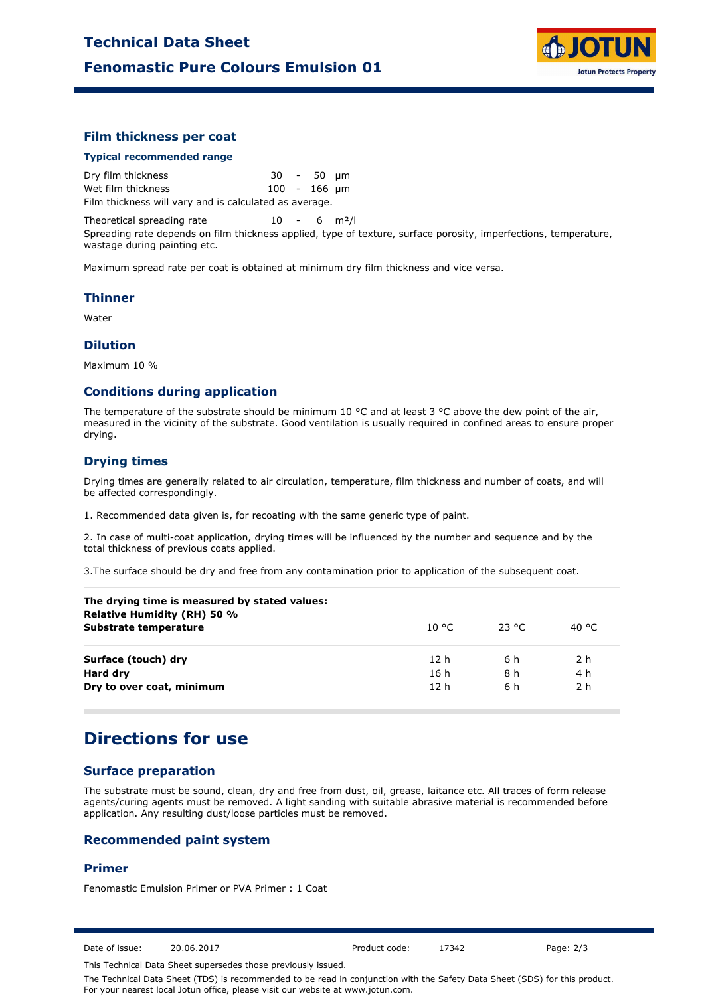

### **Film thickness per coat**

#### **Typical recommended range**

Dry film thickness 30 - 50 µm Wet film thickness 100 - 166 µm Film thickness will vary and is calculated as average.

Theoretical spreading rate  $10 - 6$  m<sup>2</sup>/l Spreading rate depends on film thickness applied, type of texture, surface porosity, imperfections, temperature, wastage during painting etc.

Maximum spread rate per coat is obtained at minimum dry film thickness and vice versa.

#### **Thinner**

Water

#### **Dilution**

Maximum 10 %

#### **Conditions during application**

The temperature of the substrate should be minimum 10 °C and at least 3 °C above the dew point of the air, measured in the vicinity of the substrate. Good ventilation is usually required in confined areas to ensure proper drying.

## **Drying times**

Drying times are generally related to air circulation, temperature, film thickness and number of coats, and will be affected correspondingly.

1. Recommended data given is, for recoating with the same generic type of paint.

2. In case of multi-coat application, drying times will be influenced by the number and sequence and by the total thickness of previous coats applied.

3.The surface should be dry and free from any contamination prior to application of the subsequent coat.

| The drying time is measured by stated values:<br>Relative Humidity (RH) 50 % |                 |          |                |
|------------------------------------------------------------------------------|-----------------|----------|----------------|
| Substrate temperature                                                        | 10 °C.          | - 23 °C. | 40 °C          |
| Surface (touch) dry                                                          | 12h             | 6 h      | 2 <sub>h</sub> |
| Hard dry                                                                     | 16 h            | 8 h      | 4 h            |
| Dry to over coat, minimum                                                    | 12 <sub>h</sub> | 6 h      | 2 h            |
|                                                                              |                 |          |                |

# **Directions for use**

# **Surface preparation**

The substrate must be sound, clean, dry and free from dust, oil, grease, laitance etc. All traces of form release agents/curing agents must be removed. A light sanding with suitable abrasive material is recommended before application. Any resulting dust/loose particles must be removed.

#### **Recommended paint system**

## **Primer**

Fenomastic Emulsion Primer or PVA Primer : 1 Coat

Date of issue: 20.06.2017 Product code: 17342 Page: 2/3

This Technical Data Sheet supersedes those previously issued.

The Technical Data Sheet (TDS) is recommended to be read in conjunction with the Safety Data Sheet (SDS) for this product. For your nearest local Jotun office, please visit our website at www.jotun.com.